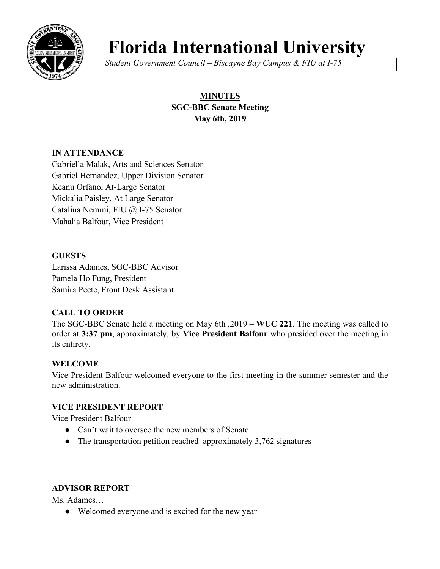

# **Florida International University**

*Student Government Council – Biscayne Bay Campus & FIU at I-75*

## **MINUTES SGC-BBC Senate Meeting May 6th, 2019**

## **IN ATTENDANCE**

Gabriella Malak, Arts and Sciences Senator Gabriel Hernandez, Upper Division Senator Keanu Orfano, At-Large Senator Mickalia Paisley, At Large Senator Catalina Nemmi, FIU @ I-75 Senator Mahalia Balfour, Vice President

### **GUESTS**

Larissa Adames, SGC-BBC Advisor Pamela Ho Fung, President Samira Peete, Front Desk Assistant

## **CALL TO ORDER**

The SGC-BBC Senate held a meeting on May 6th ,2019 – **WUC 221**. The meeting was called to order at **3:37 pm**, approximately, by **Vice President Balfour** who presided over the meeting in its entirety.

### **WELCOME**

Vice President Balfour welcomed everyone to the first meeting in the summer semester and the new administration.

### **VICE PRESIDENT REPORT**

Vice President Balfour

- Can't wait to oversee the new members of Senate
- The transportation petition reached approximately 3,762 signatures

## **ADVISOR REPORT**

Ms. Adames…

• Welcomed everyone and is excited for the new year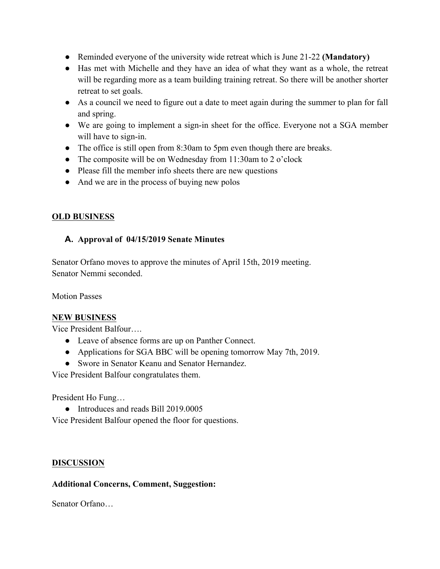- Reminded everyone of the university wide retreat which is June 21-22 **(Mandatory)**
- Has met with Michelle and they have an idea of what they want as a whole, the retreat will be regarding more as a team building training retreat. So there will be another shorter retreat to set goals.
- As a council we need to figure out a date to meet again during the summer to plan for fall and spring.
- We are going to implement a sign-in sheet for the office. Everyone not a SGA member will have to sign-in.
- The office is still open from 8:30am to 5pm even though there are breaks.
- The composite will be on Wednesday from 11:30am to 2 o'clock
- Please fill the member info sheets there are new questions
- And we are in the process of buying new polos

## **OLD BUSINESS**

## **A. Approval of 04/15/2019 Senate Minutes**

Senator Orfano moves to approve the minutes of April 15th, 2019 meeting. Senator Nemmi seconded.

Motion Passes

### **NEW BUSINESS**

Vice President Balfour….

- Leave of absence forms are up on Panther Connect.
- Applications for SGA BBC will be opening tomorrow May 7th, 2019.
- Swore in Senator Keanu and Senator Hernandez.

Vice President Balfour congratulates them.

President Ho Fung…

• Introduces and reads Bill 2019.0005

Vice President Balfour opened the floor for questions.

### **DISCUSSION**

## **Additional Concerns, Comment, Suggestion:**

Senator Orfano…